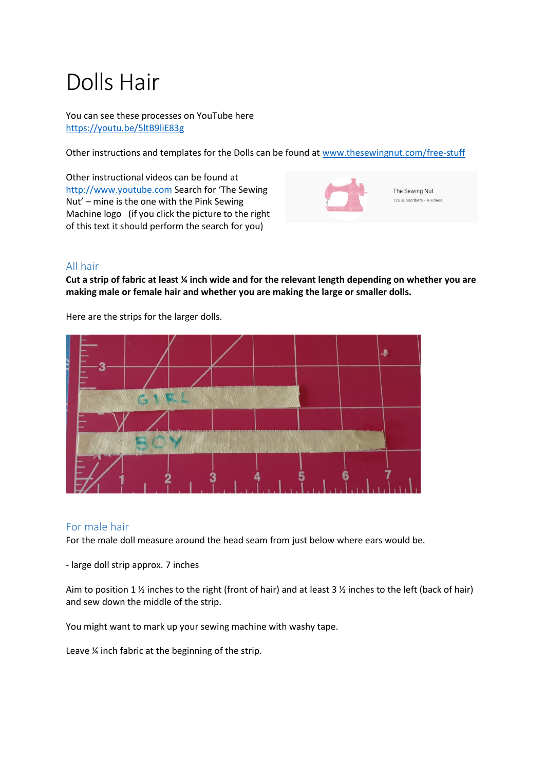## Dolls Hair

You can see these processes on YouTube here <https://youtu.be/5ltB9liE83g>

Other instructions and templates for the Dolls can be found at [www.thesewingnut.com/free-stuff](http://www.thesewingnut.com/free-stuff)

Other instructional videos can be found at [http://www.youtube.com](http://www.youtube.com/) Search for 'The Sewing Nut' – mine is the one with the Pink Sewing Machine logo (if you click the picture to the right of this text it should perform the search for you)



## All hair

**Cut a strip of fabric at least ¼ inch wide and for the relevant length depending on whether you are making male or female hair and whether you are making the large or smaller dolls.**

Here are the strips for the larger dolls.



## For male hair

For the male doll measure around the head seam from just below where ears would be.

- large doll strip approx. 7 inches

Aim to position 1  $\frac{1}{2}$  inches to the right (front of hair) and at least 3  $\frac{1}{2}$  inches to the left (back of hair) and sew down the middle of the strip.

You might want to mark up your sewing machine with washy tape.

Leave ¼ inch fabric at the beginning of the strip.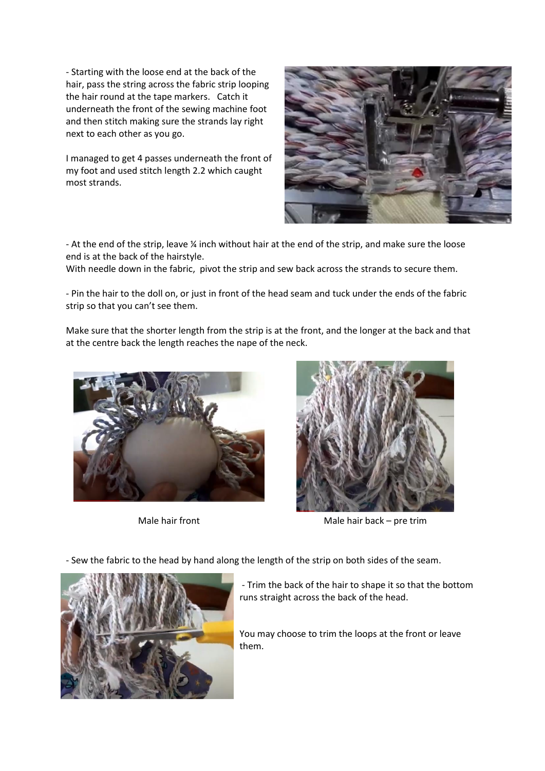- Starting with the loose end at the back of the hair, pass the string across the fabric strip looping the hair round at the tape markers. Catch it underneath the front of the sewing machine foot and then stitch making sure the strands lay right next to each other as you go.

I managed to get 4 passes underneath the front of my foot and used stitch length 2.2 which caught most strands.



- At the end of the strip, leave ¼ inch without hair at the end of the strip, and make sure the loose end is at the back of the hairstyle.

With needle down in the fabric, pivot the strip and sew back across the strands to secure them.

- Pin the hair to the doll on, or just in front of the head seam and tuck under the ends of the fabric strip so that you can't see them.

Make sure that the shorter length from the strip is at the front, and the longer at the back and that at the centre back the length reaches the nape of the neck.





Male hair front Male hair back – pre trim

- Sew the fabric to the head by hand along the length of the strip on both sides of the seam.



- Trim the back of the hair to shape it so that the bottom runs straight across the back of the head.

You may choose to trim the loops at the front or leave them.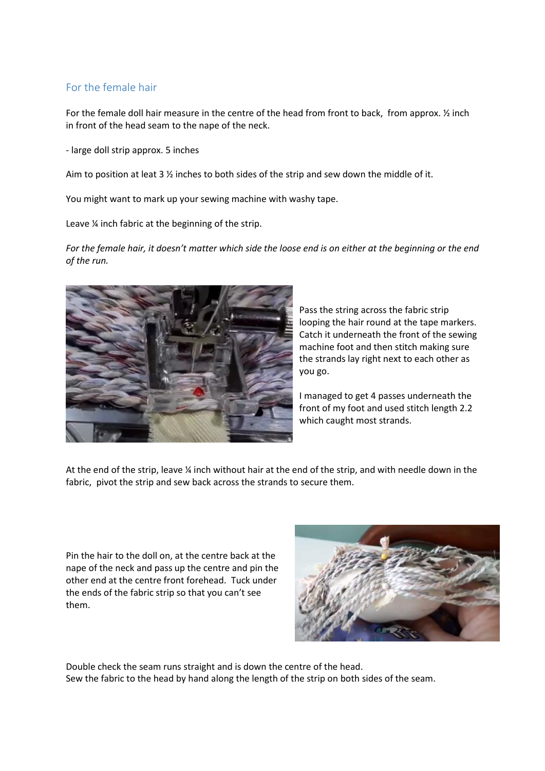## For the female hair

For the female doll hair measure in the centre of the head from front to back, from approx.  $\frac{1}{2}$  inch in front of the head seam to the nape of the neck.

- large doll strip approx. 5 inches

Aim to position at leat 3 ½ inches to both sides of the strip and sew down the middle of it.

You might want to mark up your sewing machine with washy tape.

Leave ¼ inch fabric at the beginning of the strip.

*For the female hair, it doesn't matter which side the loose end is on either at the beginning or the end of the run.* 



Pass the string across the fabric strip looping the hair round at the tape markers. Catch it underneath the front of the sewing machine foot and then stitch making sure the strands lay right next to each other as you go.

I managed to get 4 passes underneath the front of my foot and used stitch length 2.2 which caught most strands.

At the end of the strip, leave ¼ inch without hair at the end of the strip, and with needle down in the fabric, pivot the strip and sew back across the strands to secure them.

Pin the hair to the doll on, at the centre back at the nape of the neck and pass up the centre and pin the other end at the centre front forehead. Tuck under the ends of the fabric strip so that you can't see them.



Double check the seam runs straight and is down the centre of the head. Sew the fabric to the head by hand along the length of the strip on both sides of the seam.